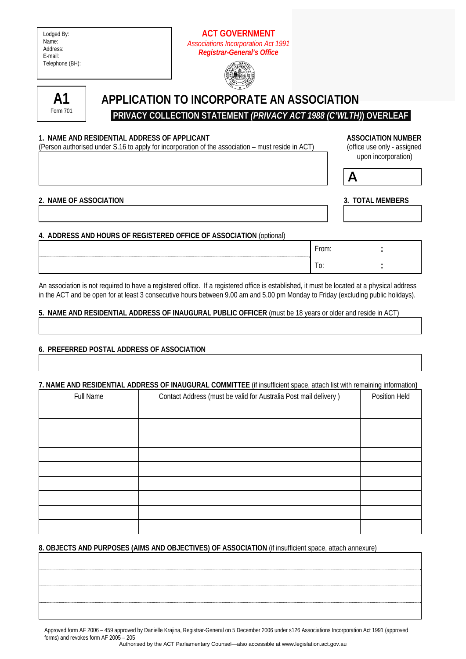| Lodged By:      |
|-----------------|
| Name:           |
| Address:        |
| E-mail:         |
| Telephone (BH): |

# **ACT GOVERNMENT**  *Associations Incorporation Act 1991 Registrar-General's Office*





# **APPLICATION TO INCORPORATE AN ASSOCIATION**

 **PRIVACY COLLECTION STATEMENT** *(PRIVACY ACT 1988 (C'WLTH)***) OVERLEAF** 

#### 1. NAME AND RESIDENTIAL ADDRESS OF APPLICANT **ASSOCIATION IN ASSOCIATION NUMBER**

(Person authorised under S.16 to apply for incorporation of the association – must reside in ACT) (office use only - assigned

 $\overline{A}$ 

upon incorporation)

| 2 - ΝΑΜΕ ΩΕ ΔSSΩCIATION |  |  |
|-------------------------|--|--|

## **3. TOTAL MEMBERS**

# **4. ADDRESS AND HOURS OF REGISTERED OFFICE OF ASSOCIATION** (optional)

| -<br>$\sim$  |  |
|--------------|--|
| $\sim$<br>ט. |  |

An association is not required to have a registered office. If a registered office is established, it must be located at a physical address in the ACT and be open for at least 3 consecutive hours between 9.00 am and 5.00 pm Monday to Friday (excluding public holidays).

## **5. NAME AND RESIDENTIAL ADDRESS OF INAUGURAL PUBLIC OFFICER** (must be 18 years or older and reside in ACT)

## **6. PREFERRED POSTAL ADDRESS OF ASSOCIATION**

#### **7. NAME AND RESIDENTIAL ADDRESS OF INAUGURAL COMMITTEE** (if insufficient space, attach list with remaining information**)**

| <b>Full Name</b> | Contact Address (must be valid for Australia Post mail delivery) | Position Held |
|------------------|------------------------------------------------------------------|---------------|
|                  |                                                                  |               |
|                  |                                                                  |               |
|                  |                                                                  |               |
|                  |                                                                  |               |
|                  |                                                                  |               |
|                  |                                                                  |               |
|                  |                                                                  |               |
|                  |                                                                  |               |
|                  |                                                                  |               |

## **8. OBJECTS AND PURPOSES (AIMS AND OBJECTIVES) OF ASSOCIATION** (if insufficient space, attach annexure)

Approved form AF 2006 – 459 approved by Danielle Krajina, Registrar-General on 5 December 2006 under s126 Associations Incorporation Act 1991 (approved forms) and revokes form AF 2005 – 205